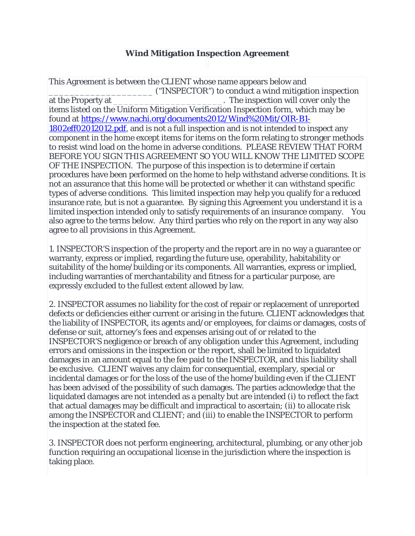## **Wind Mitigation Inspection Agreement**

This Agreement is between the CLIENT whose name appears below and \_\_\_\_\_\_\_\_\_\_\_\_\_\_\_\_\_\_\_\_ ("INSPECTOR") to conduct a wind mitigation inspection at the Property at \_\_\_\_\_\_\_\_\_\_\_\_\_\_\_\_\_\_\_\_\_\_\_\_\_\_\_\_\_\_. The inspection will cover only the items listed on the Uniform Mitigation Verification Inspection form, which may be found at [https://www.nachi.org/documents2012/Wind%20Mit/OIR-B1-](https://www.nachi.org/documents2012/Wind%20Mit/OIR-B1-1802eff02012012.pdf) [1802eff02012012.pdf,](https://www.nachi.org/documents2012/Wind%20Mit/OIR-B1-1802eff02012012.pdf) and is not a full inspection and is not intended to inspect any component in the home except items for items on the form relating to stronger methods to resist wind load on the home in adverse conditions. PLEASE REVIEW THAT FORM BEFORE YOU SIGN THIS AGREEMENT SO YOU WILL KNOW THE LIMITED SCOPE OF THE INSPECTION. The purpose of this inspection is to determine if certain procedures have been performed on the home to help withstand adverse conditions. It is not an assurance that this home will be protected or whether it can withstand specific types of adverse conditions. This limited inspection may help you qualify for a reduced insurance rate, but is not a guarantee. By signing this Agreement you understand it is a limited inspection intended only to satisfy requirements of an insurance company. You also agree to the terms below. Any third parties who rely on the report in any way also agree to all provisions in this Agreement.

1. INSPECTOR'S inspection of the property and the report are in no way a guarantee or warranty, express or implied, regarding the future use, operability, habitability or suitability of the home/building or its components. All warranties, express or implied, including warranties of merchantability and fitness for a particular purpose, are expressly excluded to the fullest extent allowed by law.

2. INSPECTOR assumes no liability for the cost of repair or replacement of unreported defects or deficiencies either current or arising in the future. CLIENT acknowledges that the liability of INSPECTOR, its agents and/or employees, for claims or damages, costs of defense or suit, attorney's fees and expenses arising out of or related to the INSPECTOR'S negligence or breach of any obligation under this Agreement, including errors and omissions in the inspection or the report, shall be limited to liquidated damages in an amount equal to the fee paid to the INSPECTOR, and this liability shall be exclusive. CLIENT waives any claim for consequential, exemplary, special or incidental damages or for the loss of the use of the home/building even if the CLIENT has been advised of the possibility of such damages. The parties acknowledge that the liquidated damages are not intended as a penalty but are intended (i) to reflect the fact that actual damages may be difficult and impractical to ascertain; (ii) to allocate risk among the INSPECTOR and CLIENT; and (iii) to enable the INSPECTOR to perform the inspection at the stated fee.

3. INSPECTOR does not perform engineering, architectural, plumbing, or any other job function requiring an occupational license in the jurisdiction where the inspection is taking place.